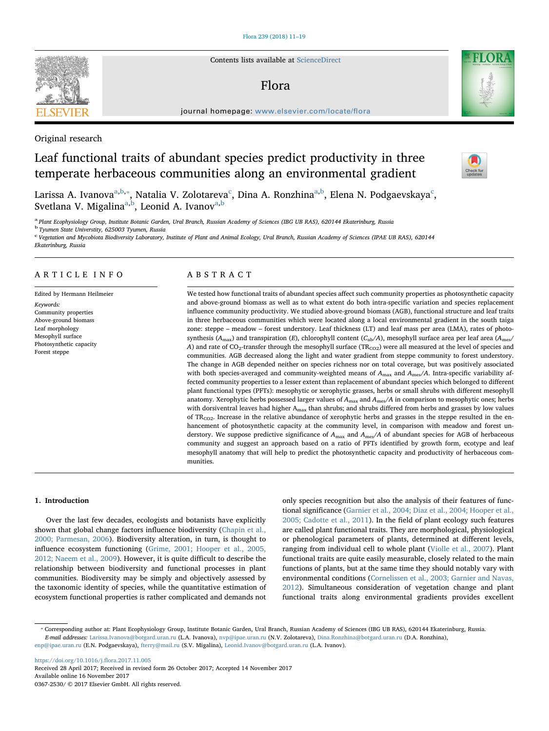## [Flora 239 \(2018\) 11–19](https://doi.org/10.1016/j.flora.2017.11.005)

Contents lists available at [ScienceDirect](http://www.sciencedirect.com/science/journal/03672530)

# Flora

journal homepage: [www.elsevier.com/locate/](https://www.elsevier.com/locate/flora)flora

# Original research

# Leaf functional traits of abundant species predict productivity in three temperate herbaceous communities along an environmental gradient

L[a](#page-0-0)rissa A. Ivanova $^{\mathrm{a,b,*}}$  $^{\mathrm{a,b,*}}$  $^{\mathrm{a,b,*}}$ , Natalia V. Zolotareva $^{\mathrm{c}}$  $^{\mathrm{c}}$  $^{\mathrm{c}}$ , Dina A. Ronzhina $^{\mathrm{a,b}}$  $^{\mathrm{a,b}}$  $^{\mathrm{a,b}}$ , Elena N. Podgaevskaya $^{\mathrm{c}}$ , Svetl[a](#page-0-0)na V. Migalina<sup>a,[b](#page-0-1)</sup>, Leonid A. Ivanov<sup>a[,b](#page-0-1)</sup>

<span id="page-0-0"></span>a Plant Ecophysiology Group, Institute Botanic Garden, Ural Branch, Russian Academy of Sciences (IBG UB RAS), 620144 Ekaterinburg, Russia

<span id="page-0-1"></span><sup>b</sup> Tyumen State Universtity, 625003 Tyumen, Russia

<span id="page-0-3"></span><sup>c</sup> Vegetation and Mycobiota Biodiversity Laboratory, Institute of Plant and Animal Ecology, Ural Branch, Russian Academy of Sciences (IPAE UB RAS), 620144 Ekaterinburg, Russia

# ARTICLE INFO

Edited by Hermann Heilmeier Keywords: Community properties Above-ground biomass Leaf morphology Mesophyll surface Photosynthetic capacity Forest steppe

# ABSTRACT

We tested how functional traits of abundant species affect such community properties as photosynthetic capacity and above-ground biomass as well as to what extent do both intra-specific variation and species replacement influence community productivity. We studied above-ground biomass (AGB), functional structure and leaf traits in three herbaceous communities which were located along a local environmental gradient in the south taiga zone: steppe – meadow – forest understory. Leaf thickness (LT) and leaf mass per area (LMA), rates of photosynthesis ( $A_{\text{max}}$ ) and transpiration (E), chlorophyll content ( $C_{ab}/A$ ), mesophyll surface area per leaf area ( $A_{\text{mes}}/A$ A) and rate of CO<sub>2</sub>-transfer through the mesophyll surface (TR<sub>CO2</sub>) were all measured at the level of species and communities. AGB decreased along the light and water gradient from steppe community to forest understory. The change in AGB depended neither on species richness nor on total coverage, but was positively associated with both species-averaged and community-weighted means of  $A_{\text{max}}$  and  $A_{\text{mes}}/A$ . Intra-specific variability affected community properties to a lesser extent than replacement of abundant species which belonged to different plant functional types (PFTs): mesophytic or xerophytic grasses, herbs or small shrubs with different mesophyll anatomy. Xerophytic herbs possessed larger values of  $A_{\text{max}}$  and  $A_{\text{mes}}/A$  in comparison to mesophytic ones; herbs with dorsiventral leaves had higher Amax than shrubs; and shrubs differed from herbs and grasses by low values of  $TR_{CO2}$ . Increase in the relative abundance of xerophytic herbs and grasses in the steppe resulted in the enhancement of photosynthetic capacity at the community level, in comparison with meadow and forest understory. We suppose predictive significance of  $A_{\text{max}}$  and  $A_{\text{mes}}/A$  of abundant species for AGB of herbaceous community and suggest an approach based on a ratio of PFTs identified by growth form, ecotype and leaf mesophyll anatomy that will help to predict the photosynthetic capacity and productivity of herbaceous communities.

#### 1. Introduction

Over the last few decades, ecologists and botanists have explicitly shown that global change factors influence biodiversity ([Chapin et al.,](#page-7-0) [2000; Parmesan, 2006](#page-7-0)). Biodiversity alteration, in turn, is thought to influence ecosystem functioning [\(Grime, 2001; Hooper et al., 2005,](#page-8-0) [2012; Naeem et al., 2009\)](#page-8-0). However, it is quite difficult to describe the relationship between biodiversity and functional processes in plant communities. Biodiversity may be simply and objectively assessed by the taxonomic identity of species, while the quantitative estimation of ecosystem functional properties is rather complicated and demands not

only species recognition but also the analysis of their features of functional significance ([Garnier et al., 2004; Diaz et al., 2004; Hooper et al.,](#page-7-1) [2005; Cadotte et al., 2011](#page-7-1)). In the field of plant ecology such features are called plant functional traits. They are morphological, physiological or phenological parameters of plants, determined at different levels, ranging from individual cell to whole plant [\(Violle et al., 2007](#page-8-1)). Plant functional traits are quite easily measurable, closely related to the main functions of plants, but at the same time they should notably vary with environmental conditions [\(Cornelissen et al., 2003; Garnier and Navas,](#page-7-2) [2012\)](#page-7-2). Simultaneous consideration of vegetation change and plant functional traits along environmental gradients provides excellent

<span id="page-0-2"></span>⁎ Corresponding author at: Plant Ecophysiology Group, Institute Botanic Garden, Ural Branch, Russian Academy of Sciences (IBG UB RAS), 620144 Ekaterinburg, Russia. E-mail addresses: [Larissa.Ivanova@botgard.uran.ru](mailto:Larissa.Ivanova@botgard.uran.ru) (L.A. Ivanova), [nvp@ipae.uran.ru](mailto:nvp@ipae.uran.ru) (N.V. Zolotareva), [Dina.Ronzhina@botgard.uran.ru](mailto:Dina.Ronzhina@botgard.uran.ru) (D.A. Ronzhina), [enp@ipae.uran.ru](mailto:enp@ipae.uran.ru) (E.N. Podgaevskaya), [fterry@mail.ru](mailto:fterry@mail.ru) (S.V. Migalina), [Leonid.Ivanov@botgard.uran.ru](mailto:Leonid.Ivanov@botgard.uran.ru) (L.A. Ivanov).

[https://doi.org/10.1016/j.](https://doi.org/10.1016/j.flora.2017.11.005)flora.2017.11.005 Received 28 April 2017; Received in revised form 26 October 2017; Accepted 14 November 2017 Available online 16 November 2017

0367-2530/ © 2017 Elsevier GmbH. All rights reserved.





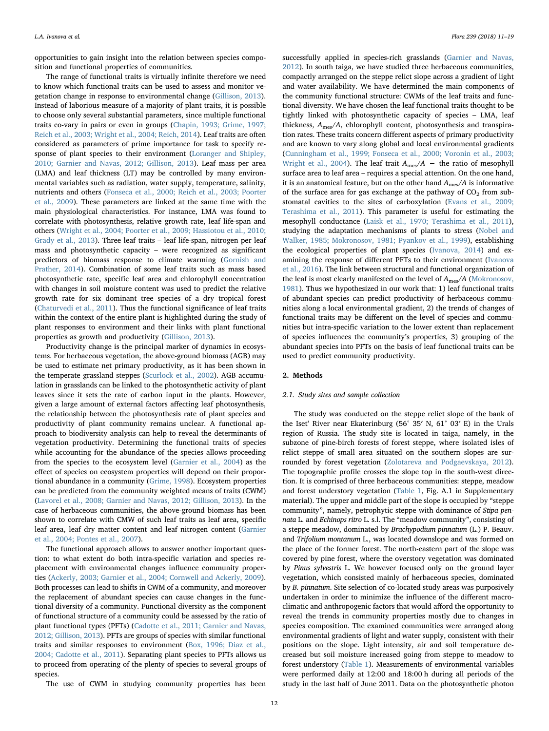opportunities to gain insight into the relation between species composition and functional properties of communities.

The range of functional traits is virtually infinite therefore we need to know which functional traits can be used to assess and monitor vegetation change in response to environmental change ([Gillison, 2013](#page-7-3)). Instead of laborious measure of a majority of plant traits, it is possible to choose only several substantial parameters, since multiple functional traits co-vary in pairs or even in groups [\(Chapin, 1993; Grime, 1997;](#page-7-4) [Reich et al., 2003; Wright et al., 2004; Reich, 2014\)](#page-7-4). Leaf traits are often considered as parameters of prime importance for task to specify response of plant species to their environment [\(Loranger and Shipley,](#page-8-2) [2010; Garnier and Navas, 2012; Gillison, 2013](#page-8-2)). Leaf mass per area (LMA) and leaf thickness (LT) may be controlled by many environmental variables such as radiation, water supply, temperature, salinity, nutrients and others ([Fonseca et al., 2000; Reich et al., 2003; Poorter](#page-7-5) [et al., 2009\)](#page-7-5). These parameters are linked at the same time with the main physiological characteristics. For instance, LMA was found to correlate with photosynthesis, relative growth rate, leaf life-span and others ([Wright et al., 2004; Poorter et al., 2009; Hassiotou et al., 2010;](#page-8-3) [Grady et al., 2013](#page-8-3)). Three leaf traits – leaf life-span, nitrogen per leaf mass and photosynthetic capacity – were recognized as significant predictors of biomass response to climate warming ([Gornish and](#page-8-4) [Prather, 2014\)](#page-8-4). Combination of some leaf traits such as mass based photosynthetic rate, specific leaf area and chlorophyll concentration with changes in soil moisture content was used to predict the relative growth rate for six dominant tree species of a dry tropical forest ([Chaturvedi et al., 2011](#page-7-6)). Thus the functional significance of leaf traits within the context of the entire plant is highlighted during the study of plant responses to environment and their links with plant functional properties as growth and productivity [\(Gillison, 2013](#page-7-3)).

Productivity change is the principal marker of dynamics in ecosystems. For herbaceous vegetation, the above-ground biomass (AGB) may be used to estimate net primary productivity, as it has been shown in the temperate grassland steppes ([Scurlock et al., 2002](#page-8-5)). AGB accumulation in grasslands can be linked to the photosynthetic activity of plant leaves since it sets the rate of carbon input in the plants. However, given a large amount of external factors affecting leaf photosynthesis, the relationship between the photosynthesis rate of plant species and productivity of plant community remains unclear. A functional approach to biodiversity analysis can help to reveal the determinants of vegetation productivity. Determining the functional traits of species while accounting for the abundance of the species allows proceeding from the species to the ecosystem level [\(Garnier et al., 2004](#page-7-1)) as the effect of species on ecosystem properties will depend on their proportional abundance in a community [\(Grime, 1998](#page-8-6)). Ecosystem properties can be predicted from the community weighted means of traits (CWM) ([Lavorel et al., 2008; Garnier and Navas, 2012; Gillison, 2013\)](#page-8-7). In the case of herbaceous communities, the above-ground biomass has been shown to correlate with CMW of such leaf traits as leaf area, specific leaf area, leaf dry matter content and leaf nitrogen content ([Garnier](#page-7-1) [et al., 2004; Pontes et al., 2007\)](#page-7-1).

The functional approach allows to answer another important question: to what extent do both intra-specific variation and species replacement with environmental changes influence community properties (Ackerly, [2003; Garnier et al., 2004; Cornwell and Ackerly, 2009](#page-7-7)). Both processes can lead to shifts in CWM of a community, and moreover the replacement of abundant species can cause changes in the functional diversity of a community. Functional diversity as the component of functional structure of a community could be assessed by the ratio of plant functional types (PFTs) ([Cadotte et al., 2011; Garnier and Navas,](#page-7-8) [2012; Gillison, 2013\)](#page-7-8). PFTs are groups of species with similar functional traits and similar responses to environment ([Box, 1996; Diaz et al.,](#page-7-9) [2004; Cadotte et al., 2011\)](#page-7-9). Separating plant species to PFTs allows us to proceed from operating of the plenty of species to several groups of species.

The use of CWM in studying community properties has been

successfully applied in species-rich grasslands [\(Garnier and Navas,](#page-7-10) [2012\)](#page-7-10). In south taiga, we have studied three herbaceous communities, compactly arranged on the steppe relict slope across a gradient of light and water availability. We have determined the main components of the community functional structure: CWMs of the leaf traits and functional diversity. We have chosen the leaf functional traits thought to be tightly linked with photosynthetic capacity of species – LMA, leaf thickness, Ames/A, chlorophyll content, photosynthesis and transpiration rates. These traits concern different aspects of primary productivity and are known to vary along global and local environmental gradients ([Cunningham et al., 1999; Fonseca et al., 2000; Voronin et al., 2003;](#page-7-11) [Wright et al., 2004\)](#page-7-11). The leaf trait  $A_{\text{mes}}/A$  – the ratio of mesophyll surface area to leaf area – requires a special attention. On the one hand, it is an anatomical feature, but on the other hand  $A_{\text{mes}}/A$  is informative of the surface area for gas exchange at the pathway of  $CO<sub>2</sub>$  from substomatal cavities to the sites of carboxylation [\(Evans et al., 2009;](#page-7-12) [Terashima et al., 2011](#page-7-12)). This parameter is useful for estimating the mesophyll conductance ([Laisk et al., 1970; Terashima et al., 2011](#page-8-8)), studying the adaptation mechanisms of plants to stress ([Nobel and](#page-8-9) [Walker, 1985; Mokronosov, 1981; Pyankov et al., 1999](#page-8-9)), establishing the ecological properties of plant species [\(Ivanova, 2014\)](#page-8-10) and examining the response of different PFTs to their environment ([Ivanova](#page-8-11) [et al., 2016\)](#page-8-11). The link between structural and functional organization of the leaf is most clearly manifested on the level of  $A_{\rm mes}/A$  ([Mokronosov,](#page-8-12) [1981\)](#page-8-12). Thus we hypothesized in our work that: 1) leaf functional traits of abundant species can predict productivity of herbaceous communities along a local environmental gradient, 2) the trends of changes of functional traits may be different on the level of species and communities but intra-specific variation to the lower extent than replacement of species influences the community's properties, 3) grouping of the abundant species into PFTs on the basis of leaf functional traits can be used to predict community productivity.

## 2. Methods

## 2.1. Study sites and sample collection

The study was conducted on the steppe relict slope of the bank of the Iset' River near Ekaterinburg (56° 35′ N, 61° 03′ E) in the Urals region of Russia. The study site is located in taiga, namely, in the subzone of pine-birch forests of forest steppe, where isolated isles of relict steppe of small area situated on the southern slopes are surrounded by forest vegetation [\(Zolotareva and Podgaevskaya, 2012](#page-8-13)). The topographic profile crosses the slope top in the south-west direction. It is comprised of three herbaceous communities: steppe, meadow and forest understory vegetation [\(Table 1](#page-2-0), Fig. A.1 in Supplementary material). The upper and middle part of the slope is occupied by "steppe community", namely, petrophytic steppe with dominance of Stipa pennata L. and Echinops ritro L. s.l. The "meadow community", consisting of a steppe meadow, dominated by Brachypodium pinnatum (L.) P. Beauv. and Trifolium montanum L., was located downslope and was formed on the place of the former forest. The north-eastern part of the slope was covered by pine forest, where the overstory vegetation was dominated by Pinus sylvestris L. We however focused only on the ground layer vegetation, which consisted mainly of herbaceous species, dominated by B. pinnatum. Site selection of co-located study areas was purposively undertaken in order to minimize the influence of the different macroclimatic and anthropogenic factors that would afford the opportunity to reveal the trends in community properties mostly due to changes in species composition. The examined communities were arranged along environmental gradients of light and water supply, consistent with their positions on the slope. Light intensity, air and soil temperature decreased but soil moisture increased going from steppe to meadow to forest understory [\(Table 1](#page-2-0)). Measurements of environmental variables were performed daily at 12:00 and 18:00 h during all periods of the study in the last half of June 2011. Data on the photosynthetic photon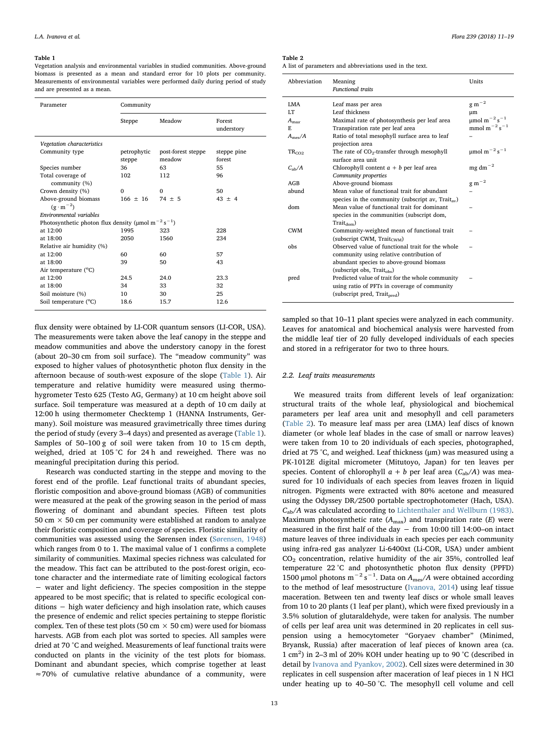#### <span id="page-2-0"></span>Table 1

Vegetation analysis and environmental variables in studied communities. Above-ground biomass is presented as a mean and standard error for 10 plots per community. Measurements of environmental variables were performed daily during period of study and are presented as a mean.

| Parameter                                                                        | Community             |                              |                       |  |  |  |  |  |  |
|----------------------------------------------------------------------------------|-----------------------|------------------------------|-----------------------|--|--|--|--|--|--|
|                                                                                  | Steppe                | Meadow                       | Forest<br>understory  |  |  |  |  |  |  |
| Vegetation characteristics                                                       |                       |                              |                       |  |  |  |  |  |  |
| Community type                                                                   | petrophytic<br>steppe | post-forest steppe<br>meadow | steppe pine<br>forest |  |  |  |  |  |  |
| Species number                                                                   | 36                    | 63                           | 55                    |  |  |  |  |  |  |
| Total coverage of<br>community (%)                                               | 102                   | 112                          | 96                    |  |  |  |  |  |  |
| Crown density (%)                                                                | $\Omega$              | $\Omega$                     | 50                    |  |  |  |  |  |  |
| Above-ground biomass<br>$(g \cdot m^{-2})$                                       | $166 + 16$            | $74 + 5$                     | $43 + 4$              |  |  |  |  |  |  |
| Environmental variables                                                          |                       |                              |                       |  |  |  |  |  |  |
| Photosynthetic photon flux density ( $\mu$ mol m <sup>-2</sup> s <sup>-1</sup> ) |                       |                              |                       |  |  |  |  |  |  |
| at 12:00                                                                         | 1995                  | 323                          | 228                   |  |  |  |  |  |  |
| at 18:00                                                                         | 2050                  | 1560                         | 234                   |  |  |  |  |  |  |
| Relative air humidity (%)                                                        |                       |                              |                       |  |  |  |  |  |  |
| at 12:00                                                                         | 60                    | 60                           | 57                    |  |  |  |  |  |  |
| at 18:00                                                                         | 39                    | 50                           | 43                    |  |  |  |  |  |  |
| Air temperature (°C)                                                             |                       |                              |                       |  |  |  |  |  |  |
| at 12:00                                                                         | 24.5                  | 24.0                         | 23.3                  |  |  |  |  |  |  |
| at 18:00                                                                         | 34                    | 33                           | 32                    |  |  |  |  |  |  |
| Soil moisture (%)                                                                | 10                    | 30                           | 25                    |  |  |  |  |  |  |
| Soil temperature (°C)                                                            | 18.6                  | 15.7                         | 12.6                  |  |  |  |  |  |  |

flux density were obtained by LI-COR quantum sensors (LI-COR, USA). The measurements were taken above the leaf canopy in the steppe and meadow communities and above the understory canopy in the forest (about 20–30 cm from soil surface). The "meadow community" was exposed to higher values of photosynthetic photon flux density in the afternoon because of south-west exposure of the slope ([Table 1](#page-2-0)). Air temperature and relative humidity were measured using thermohygrometer Testo 625 (Testo AG, Germany) at 10 cm height above soil surface. Soil temperature was measured at a depth of 10 cm daily at 12:00 h using thermometer Checktemp 1 (HANNA Instruments, Germany). Soil moisture was measured gravimetrically three times during the period of study (every 3–4 days) and presented as average ([Table 1](#page-2-0)). Samples of 50–100 g of soil were taken from 10 to 15 cm depth, weighed, dried at 105 °C for 24 h and reweighed. There was no meaningful precipitation during this period.

Research was conducted starting in the steppe and moving to the forest end of the profile. Leaf functional traits of abundant species, floristic composition and above-ground biomass (AGB) of communities were measured at the peak of the growing season in the period of mass flowering of dominant and abundant species. Fifteen test plots 50 cm  $\times$  50 cm per community were established at random to analyze their floristic composition and coverage of species. Floristic similarity of communities was assessed using the Sørensen index ([Sørensen, 1948\)](#page-8-14) which ranges from 0 to 1. The maximal value of 1 confirms a complete similarity of communities. Maximal species richness was calculated for the meadow. This fact can be attributed to the post-forest origin, ecotone character and the intermediate rate of limiting ecological factors − water and light deficiency. The species composition in the steppe appeared to be most specific; that is related to specific ecological conditions − high water deficiency and high insolation rate, which causes the presence of endemic and relict species pertaining to steppe floristic complex. Ten of these test plots (50 cm  $\times$  50 cm) were used for biomass harvests. AGB from each plot was sorted to species. All samples were dried at 70 °C and weighed. Measurements of leaf functional traits were conducted on plants in the vicinity of the test plots for biomass. Dominant and abundant species, which comprise together at least ≈70% of cumulative relative abundance of a community, were

### <span id="page-2-1"></span>Table 2

|  |  |  |  |  | A list of parameters and abbreviations used in the text. |  |  |  |  |
|--|--|--|--|--|----------------------------------------------------------|--|--|--|--|
|--|--|--|--|--|----------------------------------------------------------|--|--|--|--|

| Abbreviation      | Meaning                                                       | Units                                                          |
|-------------------|---------------------------------------------------------------|----------------------------------------------------------------|
|                   | <b>Functional traits</b>                                      |                                                                |
| <b>I.MA</b>       | Leaf mass per area                                            | $\rm g~m^{-2}$                                                 |
| LT.               | Leaf thickness                                                | um                                                             |
| $A_{\text{max}}$  | Maximal rate of photosynthesis per leaf area                  | $\mu$ mol m <sup>-2</sup> s <sup>-1</sup>                      |
| E.                | Transpiration rate per leaf area                              | mmol m <sup><math>-2</math></sup> s <sup><math>-1</math></sup> |
| $A_{\rm mes}/A$   | Ratio of total mesophyll surface area to leaf                 |                                                                |
|                   | projection area                                               |                                                                |
| TR <sub>CO2</sub> | The rate of $CO2$ -transfer through mesophyll                 | $\mu$ mol m <sup>-2</sup> s <sup>-1</sup>                      |
|                   | surface area unit                                             |                                                                |
| $C_{ab}/A$        | Chlorophyll content $a + b$ per leaf area                     | $mg \, dm^{-2}$                                                |
|                   | Community properties                                          |                                                                |
| AGB               | Above-ground biomass                                          | $\rm g\ m^{-2}$                                                |
| abund             | Mean value of functional trait for abundant                   |                                                                |
|                   | species in the community (subscript av, $\text{Trait}_{av}$ ) |                                                                |
| dom               | Mean value of functional trait for dominant                   |                                                                |
|                   | species in the communities (subscript dom,                    |                                                                |
|                   | $\text{Trait}_{\text{dom}}$ )                                 |                                                                |
| CWM               | Community-weighted mean of functional trait                   |                                                                |
|                   | (subscript CWM, $Train_{CWM}$ )                               |                                                                |
| obs               | Observed value of functional trait for the whole              |                                                                |
|                   | community using relative contribution of                      |                                                                |
|                   | abundant species to above-ground biomass                      |                                                                |
|                   | (subscript obs, Trait <sub>obs</sub> )                        |                                                                |
| pred              | Predicted value of trait for the whole community              |                                                                |
|                   | using ratio of PFTs in coverage of community                  |                                                                |
|                   | (subscript pred, Trait <sub>pred</sub> )                      |                                                                |

sampled so that 10–11 plant species were analyzed in each community. Leaves for anatomical and biochemical analysis were harvested from the middle leaf tier of 20 fully developed individuals of each species and stored in a refrigerator for two to three hours.

#### 2.2. Leaf traits measurements

We measured traits from different levels of leaf organization: structural traits of the whole leaf, physiological and biochemical parameters per leaf area unit and mesophyll and cell parameters ([Table 2\)](#page-2-1). To measure leaf mass per area (LMA) leaf discs of known diameter (or whole leaf blades in the case of small or narrow leaves) were taken from 10 to 20 individuals of each species, photographed, dried at 75 °C, and weighed. Leaf thickness (μm) was measured using a PK-1012E digital micrometer (Mitutoyo, Japan) for ten leaves per species. Content of chlorophyll  $a + b$  per leaf area  $(C_{ab}/A)$  was measured for 10 individuals of each species from leaves frozen in liquid nitrogen. Pigments were extracted with 80% acetone and measured using the Odyssey DR/2500 portable spectrophotometer (Hach, USA).  $C_{ab}/A$  was calculated according to [Lichtenthaler and Wellburn \(1983\)](#page-8-15). Maximum photosynthetic rate  $(A<sub>max</sub>)$  and transpiration rate  $(E)$  were measured in the first half of the day − from 10:00 till 14:00–on intact mature leaves of three individuals in each species per each community using infra-red gas analyzer Li-6400xt (Li-COR, USA) under ambient CO2 concentration, relative humidity of the air 35%, controlled leaf temperature 22 °C and photosynthetic photon flux density (PPFD) 1500 μmol photons m<sup>-2</sup> s<sup>-1</sup>. Data on  $A_{\text{mes}}/A$  were obtained according to the method of leaf mesostructure ([Ivanova, 2014\)](#page-8-10) using leaf tissue maceration. Between ten and twenty leaf discs or whole small leaves from 10 to 20 plants (1 leaf per plant), which were fixed previously in a 3.5% solution of glutaraldehyde, were taken for analysis. The number of cells per leaf area unit was determined in 20 replicates in cell suspension using a hemocytometer "Goryaev chamber" (Minimed, Bryansk, Russia) after maceration of leaf pieces of known area (ca. 1 cm<sup>2</sup>) in 2-3 ml of 20% KOH under heating up to 90 °C (described in detail by [Ivanova and Pyankov, 2002\)](#page-8-16). Cell sizes were determined in 30 replicates in cell suspension after maceration of leaf pieces in 1 N HCl under heating up to 40–50 °C. The mesophyll cell volume and cell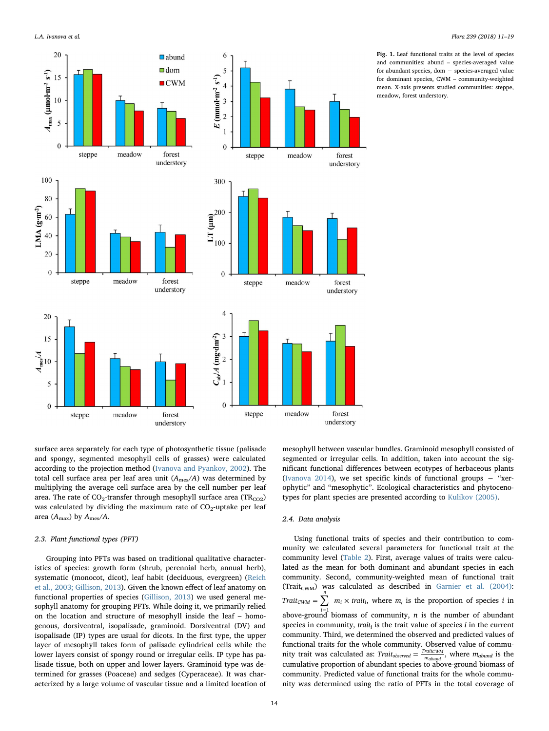<span id="page-3-0"></span>



Fig. 1. Leaf functional traits at the level of species and communities: abund – species-averaged value for abundant species, dom − species-averaged value for dominant species, CWM – community-weighted mean. X-axis presents studied communities: steppe, meadow, forest understory.

surface area separately for each type of photosynthetic tissue (palisade and spongy, segmented mesophyll cells of grasses) were calculated according to the projection method ([Ivanova and Pyankov, 2002\)](#page-8-16). The total cell surface area per leaf area unit  $(A_{\text{mes}}/A)$  was determined by multiplying the average cell surface area by the cell number per leaf area. The rate of  $CO_2$ -transfer through mesophyll surface area (TR<sub>CO2</sub>) was calculated by dividing the maximum rate of  $CO<sub>2</sub>$ -uptake per leaf area ( $A_{\text{max}}$ ) by  $A_{\text{mes}}/A$ .

# 2.3. Plant functional types (PFT)

Grouping into PFTs was based on traditional qualitative characteristics of species: growth form (shrub, perennial herb, annual herb), systematic (monocot, dicot), leaf habit (deciduous, evergreen) ([Reich](#page-8-17) [et al., 2003; Gillison, 2013](#page-8-17)). Given the known effect of leaf anatomy on functional properties of species ([Gillison, 2013](#page-7-3)) we used general mesophyll anatomy for grouping PFTs. While doing it, we primarily relied on the location and structure of mesophyll inside the leaf – homogenous, dorsiventral, isopalisade, graminoid. Dorsiventral (DV) and isopalisade (IP) types are usual for dicots. In the first type, the upper layer of mesophyll takes form of palisade cylindrical cells while the lower layers consist of spongy round or irregular cells. IP type has palisade tissue, both on upper and lower layers. Graminoid type was determined for grasses (Poaceae) and sedges (Cyperaceae). It was characterized by a large volume of vascular tissue and a limited location of mesophyll between vascular bundles. Graminoid mesophyll consisted of segmented or irregular cells. In addition, taken into account the significant functional differences between ecotypes of herbaceous plants ([Ivanova 2014\)](#page-8-10), we set specific kinds of functional groups  $-$  "xerophytic" and "mesophytic". Ecological characteristics and phytocenotypes for plant species are presented according to [Kulikov \(2005\).](#page-8-18)

## 2.4. Data analysis

Using functional traits of species and their contribution to community we calculated several parameters for functional trait at the community level ([Table 2\)](#page-2-1). First, average values of traits were calculated as the mean for both dominant and abundant species in each community. Second, community-weighted mean of functional trait (Trait<sub>CWM</sub>) was calculated as described in Garnier et al.  $(2004)$ :  $Trait_{CWM} = \sum m_i \times trait_i$ , where  $m_i$  is the proportion of species *i* in above-ground biomass of community, *n* is the number of abundant species in community, *trait<sub>i</sub>* is the trait value of species  $i$  in the current community. Third, we determined the observed and predicted values of functional traits for the whole community. Observed value of community trait was calculated as:  $Train_{observed} = \frac{Train_{CWM}}{m_{abund}}$ , where  $m_{abund}$  is the cumulative proportion of abundant species to above-ground biomass of community. Predicted value of functional traits for the whole community was determined using the ratio of PFTs in the total coverage of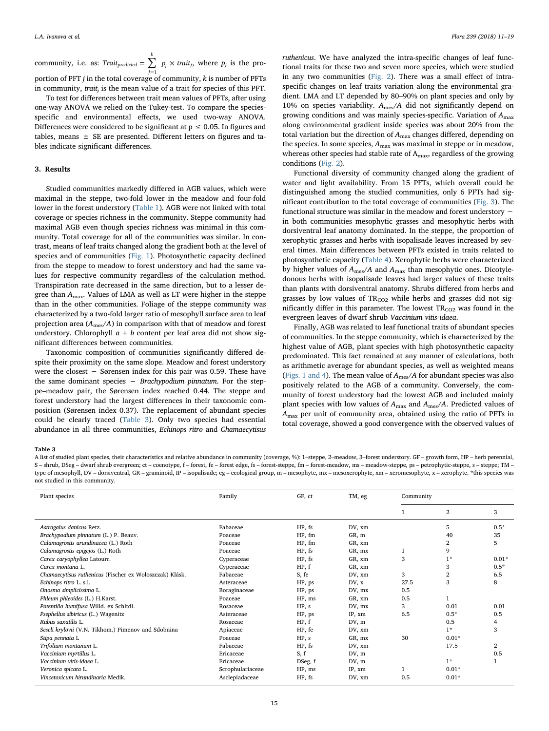community, i.e. as:  $Trait_{predicted} = \sum_{j=1} p_j \times$ *Trait<sub>predicted</sub>* =  $\sum p_i \times \text{trail}$ *j k*  $j$   $p_j \times \text{trait}_j$ , where  $p_j$  is the proportion of PFT  $j$  in the total coverage of community,  $k$  is number of PFTs

in community,  $\text{trait}_i$  is the mean value of a trait for species of this PFT. To test for differences between trait mean values of PFTs, after using one-way ANOVA we relied on the Tukey-test. To compare the speciesspecific and environmental effects, we used two-way ANOVA. Differences were considered to be significant at  $p \leq 0.05$ . In figures and tables, means  $\pm$  SE are presented. Different letters on figures and tables indicate significant differences.

#### 3. Results

Studied communities markedly differed in AGB values, which were maximal in the steppe, two-fold lower in the meadow and four-fold lower in the forest understory ([Table 1\)](#page-2-0). AGB were not linked with total coverage or species richness in the community. Steppe community had maximal AGB even though species richness was minimal in this community. Total coverage for all of the communities was similar. In contrast, means of leaf traits changed along the gradient both at the level of species and of communities [\(Fig. 1\)](#page-3-0). Photosynthetic capacity declined from the steppe to meadow to forest understory and had the same values for respective community regardless of the calculation method. Transpiration rate decreased in the same direction, but to a lesser degree than  $A_{\text{max}}$ . Values of LMA as well as LT were higher in the steppe than in the other communities. Foliage of the steppe community was characterized by a two-fold larger ratio of mesophyll surface area to leaf projection area  $(A<sub>mes</sub> / A)$  in comparison with that of meadow and forest understory. Chlorophyll  $a + b$  content per leaf area did not show significant differences between communities.

Taxonomic composition of communities significantly differed despite their proximity on the same slope. Meadow and forest understory were the closest − Sørensen index for this pair was 0.59. These have the same dominant species − Brachypodium pinnatum. For the steppe–meadow pair, the Sørensen index reached 0.44. The steppe and forest understory had the largest differences in their taxonomic composition (Sørensen index 0.37). The replacement of abundant species could be clearly traced ([Table 3\)](#page-4-0). Only two species had essential abundance in all three communities, Echinops ritro and Chamaecytisus

ruthenicus. We have analyzed the intra-specific changes of leaf functional traits for these two and seven more species, which were studied in any two communities ([Fig. 2](#page-5-0)). There was a small effect of intraspecific changes on leaf traits variation along the environmental gradient. LMA and LT depended by 80–90% on plant species and only by 10% on species variability.  $A_{\text{mes}}/A$  did not significantly depend on growing conditions and was mainly species-specific. Variation of  $A_{\text{max}}$ along environmental gradient inside species was about 20% from the total variation but the direction of  $A_{\text{max}}$  changes differed, depending on the species. In some species, Amax was maximal in steppe or in meadow, whereas other species had stable rate of A<sub>max</sub>, regardless of the growing conditions ([Fig. 2](#page-5-0)).

Functional diversity of community changed along the gradient of water and light availability. From 15 PFTs, which overall could be distinguished among the studied communities, only 6 PFTs had significant contribution to the total coverage of communities ([Fig. 3\)](#page-5-1). The functional structure was similar in the meadow and forest understory − in both communities mesophytic grasses and mesophytic herbs with dorsiventral leaf anatomy dominated. In the steppe, the proportion of xerophytic grasses and herbs with isopalisade leaves increased by several times. Main differences between PFTs existed in traits related to photosynthetic capacity [\(Table 4\)](#page-5-2). Xerophytic herbs were characterized by higher values of  $A_{\text{mes}}/A$  and  $A_{\text{max}}$  than mesophytic ones. Dicotyledonous herbs with isopalisade leaves had larger values of these traits than plants with dorsiventral anatomy. Shrubs differed from herbs and grasses by low values of  $TR_{CO2}$  while herbs and grasses did not significantly differ in this parameter. The lowest  $TR<sub>CO2</sub>$  was found in the evergreen leaves of dwarf shrub Vaccinium vitis-idaea.

Finally, AGB was related to leaf functional traits of abundant species of communities. In the steppe community, which is characterized by the highest value of AGB, plant species with high photosynthetic capacity predominated. This fact remained at any manner of calculations, both as arithmetic average for abundant species, as well as weighted means ([Figs. 1 and 4\)](#page-3-0). The mean value of  $A_{\text{mes}}/A$  for abundant species was also positively related to the AGB of a community. Conversely, the community of forest understory had the lowest AGB and included mainly plant species with low values of  $A_{\text{max}}$  and  $A_{\text{mes}}/A$ . Predicted values of  $A<sub>max</sub>$  per unit of community area, obtained using the ratio of PFTs in total coverage, showed a good convergence with the observed values of

#### <span id="page-4-0"></span>Table 3

A list of studied plant species, their characteristics and relative abundance in community (coverage, %): 1–steppe, 2–meadow, 3–forest understory. GF – growth form, HP – herb perennial, S - shrub, DSeg - dwarf shrub evergreen; ct - coenotype, f - forest, fe - forest edge, fs - forest-steppe, fm - forest-meadow, ms - meadow-steppe, ps - petrophytic-steppe, s - steppe; TM type of mesophyll, DV - dorsiventral, GR - graminoid, IP - isopalisade; eg - ecological group, m - mesophyte, mx - mesoxerophyte, xm - xeromesophyte, x - xerophyte. \*this species was not studied in this community.

| Plant species                                           | Family           | GF, ct  | TM, eg | Community |                |                |
|---------------------------------------------------------|------------------|---------|--------|-----------|----------------|----------------|
|                                                         |                  |         |        |           | $\overline{2}$ | 3              |
| Astragalus danicus Retz.                                | Fabaceae         | HP, fs  | DV, xm |           | 5              | $0.5*$         |
| Brachypodium pinnatum (L.) P. Beauv.                    | Poaceae          | HP, fm  | GR, m  |           | 40             | 35             |
| Calamagrostis arundinacea (L.) Roth                     | Poaceae          | HP, fm  | GR, xm |           | $\overline{2}$ | 5              |
| Calamagrostis epigejos (L.) Roth                        | Poaceae          | HP, fs  | GR, mx | 1         | 9              |                |
| Carex caryophyllea Latourr.                             | Cyperaceae       | HP, fs  | GR, xm | 3         | $1*$           | $0.01*$        |
| Carex montana L.                                        | Cyperaceae       | HP, f   | GR, xm |           | 3              | $0.5*$         |
| Chamaecytisus ruthenicus (Fischer ex Woloszczak) Klásk. | Fabaceae         | S, fe   | DV, xm | 3         | $\overline{2}$ | 6.5            |
| Echinops ritro L. s.l.                                  | Asteraceae       | HP, ps  | DV, x  | 27.5      | 3              | 8              |
| Onosma simplicissima L.                                 | Boraginaceae     | HP, ps  | DV, mx | 0.5       |                |                |
| Phleum phleoides (L.) H.Karst.                          | Poaceae          | HP, ms  | GR, xm | 0.5       |                |                |
| Potentilla humifusa Willd. ex Schltdl.                  | Rosaceae         | HP, s   | DV, mx | 3         | 0.01           | 0.01           |
| Psephellus sibiricus (L.) Wagenitz                      | Asteraceae       | HP, ps  | IP, xm | 6.5       | $0.5*$         | 0.5            |
| Rubus saxatilis L.                                      | Rosaceae         | HP, f   | DV, m  |           | 0.5            | $\overline{4}$ |
| Seseli krylovii (V.N. Tikhom.) Pimenov and Sdobnina     | Apiaceae         | HP, fe  | DV, xm |           | $1*$           | 3              |
| Stipa pennata L                                         | Poaceae          | HP, s   | GR, mx | 30        | $0.01*$        |                |
| Trifolium montanum L.                                   | Fabaceae         | HP, fs  | DV, xm |           | 17.5           | 2              |
| Vaccinium myrtillus L.                                  | Ericaceae        | S, f    | DV, m  |           |                | 0.5            |
| Vaccinium vitis-idaea L.                                | Ericaceae        | DSeg, f | DV, m  |           | $1*$           |                |
| Veronica spicata L.                                     | Scrophulariaceae | HP, ms  | IP, xm |           | $0.01*$        |                |
| Vincetoxicum hirundinaria Medik.                        | Asclepiadaceae   | HP, fs  | DV, xm | 0.5       | $0.01*$        |                |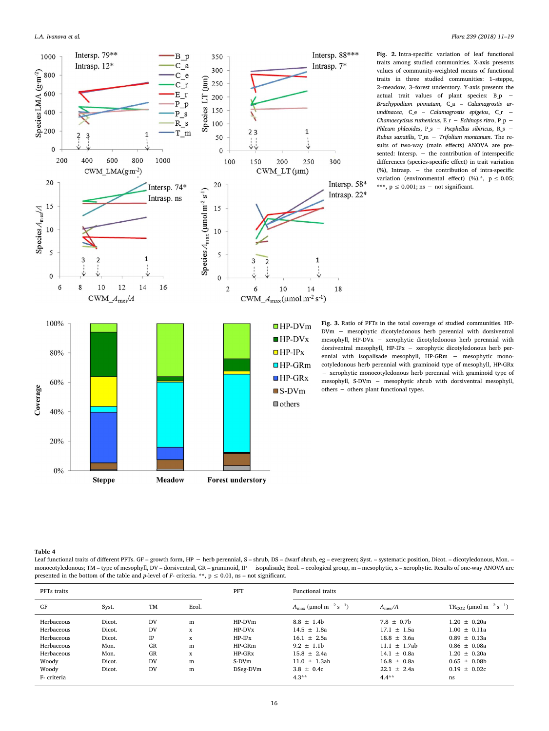<span id="page-5-0"></span>

Fig. 2. Intra-specific variation of leaf functional traits among studied communities. X-axis presents values of community-weighted means of functional traits in three studied communities: 1–steppe, 2–meadow, 3–forest understory. Y-axis presents the actual trait values of plant species: B\_p − Brachypodium pinnatum, C\_a – Calamagrostis arundinacea,  $C_e$  – Calamagrostis epigeios,  $C_r$  – Chamaecytisus ruthenicus, E\_r − Echinops ritro, P\_p − Phleum phleoides, P\_s - Psephellus sibiricus, R\_s -Rubus saxatilis,  $T_m - Trifolium montanum$ . The results of two-way (main effects) ANOVA are presented: Intersp. – the contribution of interspecific differences (species-specific effect) in trait variation (%), Intrasp. − the contribution of intra-specific variation (environmental effect) (%).\*,  $p \le 0.05$ ; \*\*\*,  $p \le 0.001$ ; ns – not significant.

Fig. 3. Ratio of PFTs in the total coverage of studied communities. HP-DVm − mesophytic dicotyledonous herb perennial with dorsiventral mesophyll, HP-DVx − xerophytic dicotyledonous herb perennial with dorsiventral mesophyll, HP-IPx − xerophytic dicotyledonous herb perennial with isopalisade mesophyll, HP-GRm − mesophytic monocotyledonous herb perennial with graminoid type of mesophyll, HP-GRx − xerophytic monocotyledonous herb perennial with graminoid type of mesophyll, S-DVm − mesophytic shrub with dorsiventral mesophyll, others − others plant functional types.

#### <span id="page-5-2"></span><span id="page-5-1"></span>Table 4

Leaf functional traits of different PFTs. GF – growth form, HP − herb perennial, S – shrub, DS – dwarf shrub, eg – evergreen; Syst. – systematic position, Dicot. – dicotyledonous, Mon. – monocotyledonous; TM – type of mesophyll, DV – dorsiventral, GR – graminoid, IP − isopalisade; Ecol. – ecological group, m – mesophytic, x – xerophytic. Results of one-way ANOVA are presented in the bottom of the table and p-level of F- criteria. \*\*,  $p \le 0.01$ , ns – not significant.

| PFTs traits |        |           |       | <b>PFT</b> | <b>Functional traits</b>                                 |                 |                                                    |  |  |
|-------------|--------|-----------|-------|------------|----------------------------------------------------------|-----------------|----------------------------------------------------|--|--|
| GF          | Syst.  | <b>TM</b> | Ecol. |            | $A_{\text{max}}$ (µmol m <sup>-2</sup> s <sup>-1</sup> ) | $A_{\rm mes}/A$ | $TR_{CO2}$ (µmol m <sup>-2</sup> s <sup>-1</sup> ) |  |  |
| Herbaceous  | Dicot. | DV        | m     | $HP-DVm$   | $8.8 \pm 1.4b$                                           | $7.8 \pm 0.7$   | $1.20 \pm 0.20a$                                   |  |  |
| Herbaceous  | Dicot. | DV        | X     | $HP-DVx$   | $14.5 \pm 1.8a$                                          | $17.1 + 1.5a$   | $1.00 \pm 0.11a$                                   |  |  |
| Herbaceous  | Dicot. | IP        | X     | $HP-IPx$   | $16.1 \pm 2.5a$                                          | $18.8 + 3.6a$   | $0.89 \pm 0.13a$                                   |  |  |
| Herbaceous  | Mon.   | <b>GR</b> | m     | $HP-GRm$   | $9.2 + 1.1b$                                             | $11.1 + 1.7ab$  | $0.86 + 0.08a$                                     |  |  |
| Herbaceous  | Mon.   | <b>GR</b> | X     | $HP-GRx$   | $15.8 + 2.4a$                                            | $14.1 + 0.8a$   | $1.20 + 0.20a$                                     |  |  |
| Woody       | Dicot. | DV        | m     | S-DVm      | $11.0 + 1.3ab$                                           | $16.8 + 0.8a$   | $0.65 + 0.08b$                                     |  |  |
| Woody       | Dicot. | DV        | m     | DSeg-DVm   | $3.8 \pm 0.4c$                                           | $22.1 + 2.4a$   | $0.19 + 0.02c$                                     |  |  |
| F- criteria |        |           |       |            | $4.3**$                                                  | $4.4***$        | ns                                                 |  |  |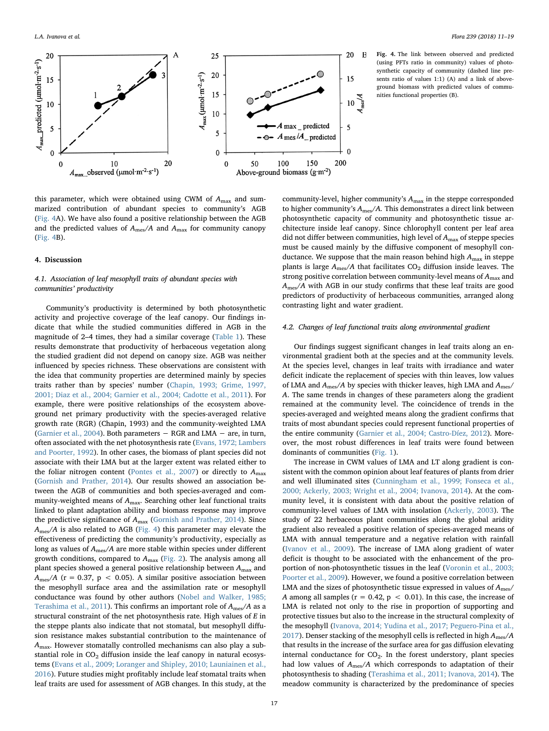<span id="page-6-0"></span>

Fig. 4. The link between observed and predicted (using PFTs ratio in community) values of photosynthetic capacity of community (dashed line presents ratio of values 1:1) (A) and a link of aboveground biomass with predicted values of communities functional properties (B).

this parameter, which were obtained using CWM of  $A_{\text{max}}$  and summarized contribution of abundant species to community's AGB ([Fig. 4A](#page-6-0)). We have also found a positive relationship between the AGB and the predicted values of  $A_{\text{mes}}/A$  and  $A_{\text{max}}$  for community canopy ([Fig. 4B](#page-6-0)).

#### 4. Discussion

# 4.1. Association of leaf mesophyll traits of abundant species with communities' productivity

Community's productivity is determined by both photosynthetic activity and projective coverage of the leaf canopy. Our findings indicate that while the studied communities differed in AGB in the magnitude of 2–4 times, they had a similar coverage [\(Table 1](#page-2-0)). These results demonstrate that productivity of herbaceous vegetation along the studied gradient did not depend on canopy size. AGB was neither influenced by species richness. These observations are consistent with the idea that community properties are determined mainly by species traits rather than by species' number [\(Chapin, 1993; Grime, 1997,](#page-7-4) [2001; Diaz et al., 2004; Garnier et al., 2004; Cadotte et al., 2011](#page-7-4)). For example, there were positive relationships of the ecosystem aboveground net primary productivity with the species-averaged relative growth rate (RGR) (Chapin, 1993) and the community-weighted LMA ([Garnier et al., 2004\)](#page-7-1). Both parameters − RGR and LMA − are, in turn, often associated with the net photosynthesis rate [\(Evans, 1972; Lambers](#page-7-13) [and Poorter, 1992\)](#page-7-13). In other cases, the biomass of plant species did not associate with their LMA but at the larger extent was related either to the foliar nitrogen content [\(Pontes et al., 2007](#page-8-19)) or directly to  $A_{\text{max}}$ ([Gornish and Prather, 2014](#page-8-4)). Our results showed an association between the AGB of communities and both species-averaged and community-weighted means of  $A_{\text{max}}$ . Searching other leaf functional traits linked to plant adaptation ability and biomass response may improve the predictive significance of  $A_{\text{max}}$  [\(Gornish and Prather, 2014\)](#page-8-4). Since  $A_{\text{mes}}/A$  is also related to AGB [\(Fig. 4\)](#page-6-0) this parameter may elevate the effectiveness of predicting the community's productivity, especially as long as values of Ames/A are more stable within species under different growth conditions, compared to  $A_{\text{max}}$  ([Fig. 2](#page-5-0)). The analysis among all plant species showed a general positive relationship between  $A_{\text{max}}$  and  $A_{\text{mes}}/A$  (r = 0.37, p < 0.05). A similar positive association between the mesophyll surface area and the assimilation rate or mesophyll conductance was found by other authors ([Nobel and Walker, 1985;](#page-8-9) [Terashima et al., 2011\)](#page-8-9). This confirms an important role of  $A_{\text{mes}}/A$  as a structural constraint of the net photosynthesis rate. High values of E in the steppe plants also indicate that not stomatal, but mesophyll diffusion resistance makes substantial contribution to the maintenance of Amax. However stomatally controlled mechanisms can also play a substantial role in  $CO<sub>2</sub>$  diffusion inside the leaf canopy in natural ecosystems [\(Evans et al., 2009; Loranger and Shipley, 2010; Launiainen et al.,](#page-7-12) [2016\)](#page-7-12). Future studies might profitably include leaf stomatal traits when leaf traits are used for assessment of AGB changes. In this study, at the community-level, higher community's  $A_{\text{max}}$  in the steppe corresponded to higher community's  $A_{\text{mes}}/A$ . This demonstrates a direct link between photosynthetic capacity of community and photosynthetic tissue architecture inside leaf canopy. Since chlorophyll content per leaf area did not differ between communities, high level of  $A_{\text{max}}$  of steppe species must be caused mainly by the diffusive component of mesophyll conductance. We suppose that the main reason behind high  $A_{\text{max}}$  in steppe plants is large  $A_{\text{mes}}/A$  that facilitates  $CO_2$  diffusion inside leaves. The strong positive correlation between community-level means of  $A_{\text{max}}$  and Ames/A with AGB in our study confirms that these leaf traits are good predictors of productivity of herbaceous communities, arranged along contrasting light and water gradient.

## 4.2. Changes of leaf functional traits along environmental gradient

Our findings suggest significant changes in leaf traits along an environmental gradient both at the species and at the community levels. At the species level, changes in leaf traits with irradiance and water deficit indicate the replacement of species with thin leaves, low values of LMA and  $A_{\text{mes}}/A$  by species with thicker leaves, high LMA and  $A_{\text{mes}}/A$ A. The same trends in changes of these parameters along the gradient remained at the community level. The coincidence of trends in the species-averaged and weighted means along the gradient confirms that traits of most abundant species could represent functional properties of the entire community ([Garnier et al., 2004; Castro-Díez, 2012\)](#page-7-1). Moreover, the most robust differences in leaf traits were found between dominants of communities ([Fig. 1](#page-3-0)).

The increase in CWM values of LMA and LT along gradient is consistent with the common opinion about leaf features of plants from drier and well illuminated sites ([Cunningham et al., 1999; Fonseca et al.,](#page-7-11) [2000; Ackerly, 2003; Wright et al., 2004; Ivanova, 2014\)](#page-7-11). At the community level, it is consistent with data about the positive relation of community-level values of LMA with insolation [\(Ackerly, 2003\)](#page-7-7). The study of 22 herbaceous plant communities along the global aridity gradient also revealed a positive relation of species-averaged means of LMA with annual temperature and a negative relation with rainfall ([Ivanov et al., 2009](#page-8-20)). The increase of LMA along gradient of water deficit is thought to be associated with the enhancement of the proportion of non-photosynthetic tissues in the leaf [\(Voronin et al., 2003;](#page-8-21) [Poorter et al., 2009](#page-8-21)). However, we found a positive correlation between LMA and the sizes of photosynthetic tissue expressed in values of  $A_{\text{mes}}/$ A among all samples ( $r = 0.42$ ,  $p < 0.01$ ). In this case, the increase of LMA is related not only to the rise in proportion of supporting and protective tissues but also to the increase in the structural complexity of the mesophyll ([Ivanova, 2014; Yudina et al., 2017; Peguero-Pina et al.,](#page-8-10) [2017\)](#page-8-10). Denser stacking of the mesophyll cells is reflected in high  $A_{\text{mes}}/A$ that results in the increase of the surface area for gas diffusion elevating internal conductance for  $CO<sub>2</sub>$ . In the forest understory, plant species had low values of  $A_{\text{mes}}/A$  which corresponds to adaptation of their photosynthesis to shading [\(Terashima et al., 2011; Ivanova, 2014\)](#page-8-22). The meadow community is characterized by the predominance of species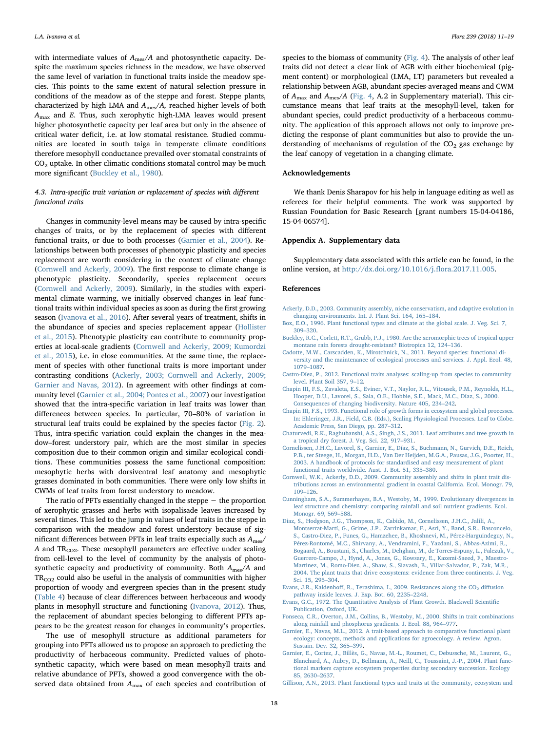with intermediate values of  $A_{\text{mes}}/A$  and photosynthetic capacity. Despite the maximum species richness in the meadow, we have observed the same level of variation in functional traits inside the meadow species. This points to the same extent of natural selection pressure in conditions of the meadow as of the steppe and forest. Steppe plants, characterized by high LMA and  $A_{\text{mes}}/A$ , reached higher levels of both  $A_{\text{max}}$  and E. Thus, such xerophytic high-LMA leaves would present higher photosynthetic capacity per leaf area but only in the absence of critical water deficit, i.e. at low stomatal resistance. Studied communities are located in south taiga in temperate climate conditions therefore mesophyll conductance prevailed over stomatal constraints of  $CO<sub>2</sub>$  uptake. In other climatic conditions stomatal control may be much more significant ([Buckley et al., 1980](#page-7-14)).

## 4.3. Intra-specific trait variation or replacement of species with different functional traits

Changes in community-level means may be caused by intra-specific changes of traits, or by the replacement of species with different functional traits, or due to both processes [\(Garnier et al., 2004](#page-7-1)). Relationships between both processes of phenotypic plasticity and species replacement are worth considering in the context of climate change ([Cornwell and Ackerly, 2009](#page-7-15)). The first response to climate change is phenotypic plasticity. Secondarily, species replacement occurs ([Cornwell and Ackerly, 2009\)](#page-7-15). Similarly, in the studies with experimental climate warming, we initially observed changes in leaf functional traits within individual species as soon as during the first growing season [\(Ivanova et al., 2016\)](#page-8-11). After several years of treatment, shifts in the abundance of species and species replacement appear [\(Hollister](#page-8-23) [et al., 2015](#page-8-23)). Phenotypic plasticity can contribute to community properties at local-scale gradients ([Cornwell and Ackerly, 2009; Kumordzi](#page-7-15) [et al., 2015\)](#page-7-15), i.e. in close communities. At the same time, the replacement of species with other functional traits is more important under contrasting conditions ([Ackerly, 2003; Cornwell and Ackerly, 2009;](#page-7-7) [Garnier and Navas, 2012\)](#page-7-7). In agreement with other findings at community level ([Garnier et al., 2004; Pontes et al., 2007\)](#page-7-1) our investigation showed that the intra-specific variation in leaf traits was lower than differences between species. In particular, 70–80% of variation in structural leaf traits could be explained by the species factor ([Fig. 2](#page-5-0)). Thus, intra-specific variation could explain the changes in the meadow–forest understory pair, which are the most similar in species composition due to their common origin and similar ecological conditions. These communities possess the same functional composition: mesophytic herbs with dorsiventral leaf anatomy and mesophytic grasses dominated in both communities. There were only low shifts in CWMs of leaf traits from forest understory to meadow.

The ratio of PFTs essentially changed in the steppe − the proportion of xerophytic grasses and herbs with isopalisade leaves increased by several times. This led to the jump in values of leaf traits in the steppe in comparison with the meadow and forest understory because of significant differences between PFTs in leaf traits especially such as Ames/ A and  $TR<sub>CO2</sub>$ . These mesophyll parameters are effective under scaling from cell-level to the level of community by the analysis of photosynthetic capacity and productivity of community. Both  $A_{\text{mes}}/A$  and  $TR<sub>CO2</sub>$  could also be useful in the analysis of communities with higher proportion of woody and evergreen species than in the present study ([Table 4](#page-5-2)) because of clear differences between herbaceous and woody plants in mesophyll structure and functioning [\(Ivanova, 2012\)](#page-8-24). Thus, the replacement of abundant species belonging to different PFTs appears to be the greatest reason for changes in community's properties.

The use of mesophyll structure as additional parameters for grouping into PFTs allowed us to propose an approach to predicting the productivity of herbaceous community. Predicted values of photosynthetic capacity, which were based on mean mesophyll traits and relative abundance of PFTs, showed a good convergence with the observed data obtained from  $A_{\text{max}}$  of each species and contribution of

species to the biomass of community [\(Fig. 4](#page-6-0)). The analysis of other leaf traits did not detect a clear link of AGB with either biochemical (pigment content) or morphological (LMA, LT) parameters but revealed a relationship between AGB, abundant species-averaged means and CWM of  $A_{\text{max}}$  and  $A_{\text{mes}}/A$  [\(Fig. 4,](#page-6-0) A.2 in Supplementary material). This circumstance means that leaf traits at the mesophyll-level, taken for abundant species, could predict productivity of a herbaceous community. The application of this approach allows not only to improve predicting the response of plant communities but also to provide the understanding of mechanisms of regulation of the  $CO<sub>2</sub>$  gas exchange by the leaf canopy of vegetation in a changing climate.

### Acknowledgements

We thank Denis Sharapov for his help in language editing as well as referees for their helpful comments. The work was supported by Russian Foundation for Basic Research [grant numbers 15-04-04186, 15-04-06574].

#### Appendix A. Supplementary data

Supplementary data associated with this article can be found, in the online version, at [http://dx.doi.org/10.1016/j.](http://dx.doi.org/10.1016/j.flora.2017.11.005)flora.2017.11.005.

#### References

- <span id="page-7-7"></span>[Ackerly, D.D., 2003. Community assembly, niche conservatism, and adaptive evolution in](http://refhub.elsevier.com/S0367-2530(17)33379-0/sbref0005) [changing environments. Int. J. Plant Sci. 164, 165](http://refhub.elsevier.com/S0367-2530(17)33379-0/sbref0005)–184.
- <span id="page-7-9"></span>[Box, E.O., 1996. Plant functional types and climate at the global scale. J. Veg. Sci. 7,](http://refhub.elsevier.com/S0367-2530(17)33379-0/sbref0010) 309–[320](http://refhub.elsevier.com/S0367-2530(17)33379-0/sbref0010).
- <span id="page-7-14"></span>[Buckley, R.C., Corlett, R.T., Grubb, P.J., 1980. Are the xeromorphic trees of tropical upper](http://refhub.elsevier.com/S0367-2530(17)33379-0/sbref0015) [montane rain forests drought-resistant? Biotropica 12, 124](http://refhub.elsevier.com/S0367-2530(17)33379-0/sbref0015)–136.
- <span id="page-7-8"></span>[Cadotte, M.W., Carscadden, K., Mirotchnick, N., 2011. Beyond species: functional di](http://refhub.elsevier.com/S0367-2530(17)33379-0/sbref0020)[versity and the maintenance of ecological processes and services. J. Appl. Ecol. 48,](http://refhub.elsevier.com/S0367-2530(17)33379-0/sbref0020) 1079–[1087](http://refhub.elsevier.com/S0367-2530(17)33379-0/sbref0020).
- [Castro-Díez, P., 2012. Functional traits analyses: scaling-up from species to community](http://refhub.elsevier.com/S0367-2530(17)33379-0/sbref0025) [level. Plant Soil 357, 9](http://refhub.elsevier.com/S0367-2530(17)33379-0/sbref0025)–12.
- <span id="page-7-0"></span>[Chapin III, F.S., Zavaleta, E.S., Eviner, V.T., Naylor, R.L., Vitousek, P.M., Reynolds, H.L.,](http://refhub.elsevier.com/S0367-2530(17)33379-0/sbref0030) [Hooper, D.U., Lavorel, S., Sala, O.E., Hobbie, S.E., Mack, M.C., Díaz, S., 2000.](http://refhub.elsevier.com/S0367-2530(17)33379-0/sbref0030) [Consequences of changing biodiversity. Nature 405, 234](http://refhub.elsevier.com/S0367-2530(17)33379-0/sbref0030)–242.
- <span id="page-7-4"></span>[Chapin III, F.S., 1993. Functional role of growth forms in ecosystem and global processes.](http://refhub.elsevier.com/S0367-2530(17)33379-0/sbref0035) [In: Ehleringer, J.R., Field, C.B. \(Eds.\), Scaling Physiological Processes. Leaf to Globe.](http://refhub.elsevier.com/S0367-2530(17)33379-0/sbref0035) [Academic Press, San Diego, pp. 287](http://refhub.elsevier.com/S0367-2530(17)33379-0/sbref0035)–312.
- <span id="page-7-6"></span>[Chaturvedi, R.K., Raghubanshi, A.S., Singh, J.S., 2011. Leaf attributes and tree growth in](http://refhub.elsevier.com/S0367-2530(17)33379-0/sbref0040) [a tropical dry forest. J. Veg. Sci. 22, 917](http://refhub.elsevier.com/S0367-2530(17)33379-0/sbref0040)–931.
- <span id="page-7-2"></span>[Cornelissen, J.H.C., Lavorel, S., Garnier, E., Díaz, S., Buchmann, N., Gurvich, D.E., Reich,](http://refhub.elsevier.com/S0367-2530(17)33379-0/sbref0045) [P.B., ter Steege, H., Morgan, H.D., Van Der Heijden, M.G.A., Pausas, J.G., Poorter, H.,](http://refhub.elsevier.com/S0367-2530(17)33379-0/sbref0045) [2003. A handbook of protocols for standardised and easy measurement of plant](http://refhub.elsevier.com/S0367-2530(17)33379-0/sbref0045) [functional traits worldwide. Aust. J. Bot. 51, 335](http://refhub.elsevier.com/S0367-2530(17)33379-0/sbref0045)–380.
- <span id="page-7-15"></span>[Cornwell, W.K., Ackerly, D.D., 2009. Community assembly and shifts in plant trait dis](http://refhub.elsevier.com/S0367-2530(17)33379-0/sbref0050)[tributions across an environmental gradient in coastal California. Ecol. Monogr. 79,](http://refhub.elsevier.com/S0367-2530(17)33379-0/sbref0050) 109–[126](http://refhub.elsevier.com/S0367-2530(17)33379-0/sbref0050).
- <span id="page-7-11"></span>[Cunningham, S.A., Summerhayes, B.A., Westoby, M., 1999. Evolutionary divergences in](http://refhub.elsevier.com/S0367-2530(17)33379-0/sbref0055) [leaf structure and chemistry: comparing rainfall and soil nutrient gradients. Ecol.](http://refhub.elsevier.com/S0367-2530(17)33379-0/sbref0055) [Monogr. 69, 569](http://refhub.elsevier.com/S0367-2530(17)33379-0/sbref0055)–588.
- [Diaz, S., Hodgson, J.G., Thompson, K., Cabido, M., Cornelissen, J.H.C., Jalili, A.,](http://refhub.elsevier.com/S0367-2530(17)33379-0/sbref0060) [Montserrat-Martí, G., Grime, J.P., Zarrinkamar, F., Asri, Y., Band, S.R., Basconcelo,](http://refhub.elsevier.com/S0367-2530(17)33379-0/sbref0060) [S., Castro-Diez, P., Funes, G., Hamzehee, B., Khoshnevi, M., Pérez-Harguindeguy, N.,](http://refhub.elsevier.com/S0367-2530(17)33379-0/sbref0060) [Pérez-Rontomé, M.C., Shirvany, A., Vendramini, F., Yazdani, S., Abbas-Azimi, R.,](http://refhub.elsevier.com/S0367-2530(17)33379-0/sbref0060) [Bogaard, A., Boustani, S., Charles, M., Dehghan, M., de Torres-Espuny, L., Falczuk, V.,](http://refhub.elsevier.com/S0367-2530(17)33379-0/sbref0060) [Guerrero-Campo, J., Hynd, A., Jones, G., Kowsary, E., Kazemi-Saeed, F., Maestro-](http://refhub.elsevier.com/S0367-2530(17)33379-0/sbref0060)[Martinez, M., Romo-Diez, A., Shaw, S., Siavash, B., Villar-Salvador, P., Zak, M.R.,](http://refhub.elsevier.com/S0367-2530(17)33379-0/sbref0060) [2004. The plant traits that drive ecosystems: evidence from three continents. J. Veg.](http://refhub.elsevier.com/S0367-2530(17)33379-0/sbref0060) [Sci. 15, 295](http://refhub.elsevier.com/S0367-2530(17)33379-0/sbref0060)–304.
- <span id="page-7-12"></span>Evans, J.R., Kaldenhoff, R., Terashima, I., 2009. Resistances along the  $CO<sub>2</sub>$  diffusion [pathway inside leaves. J. Exp. Bot. 60, 2235](http://refhub.elsevier.com/S0367-2530(17)33379-0/sbref0065)–2248.
- <span id="page-7-13"></span>[Evans, G.C., 1972. The Quantitative Analysis of Plant Growth. Blackwell Scienti](http://refhub.elsevier.com/S0367-2530(17)33379-0/sbref0070)fic [Publication, Oxford, UK.](http://refhub.elsevier.com/S0367-2530(17)33379-0/sbref0070)
- <span id="page-7-5"></span>[Fonseca, C.R., Overton, J.M., Collins, B., Westoby, M., 2000. Shifts in trait combinations](http://refhub.elsevier.com/S0367-2530(17)33379-0/sbref0075) [along rainfall and phosphorus gradients. J. Ecol. 88, 964](http://refhub.elsevier.com/S0367-2530(17)33379-0/sbref0075)–977.
- <span id="page-7-10"></span>[Garnier, E., Navas, M.L., 2012. A trait-based approach to comparative functional plant](http://refhub.elsevier.com/S0367-2530(17)33379-0/sbref0080) [ecology: concepts, methods and applications for agroecology. A review. Agron.](http://refhub.elsevier.com/S0367-2530(17)33379-0/sbref0080) [Sustain. Dev. 32, 365](http://refhub.elsevier.com/S0367-2530(17)33379-0/sbref0080)–399.
- <span id="page-7-1"></span>[Garnier, E., Cortez, J., Billès, G., Navas, M.-L., Roumet, C., Debussche, M., Laurent, G.,](http://refhub.elsevier.com/S0367-2530(17)33379-0/sbref0085) [Blanchard, A., Aubry, D., Bellmann, A., Neill, C., Toussaint, J.-P., 2004. Plant func](http://refhub.elsevier.com/S0367-2530(17)33379-0/sbref0085)[tional markers capture ecosystem properties during secondary succession. Ecology](http://refhub.elsevier.com/S0367-2530(17)33379-0/sbref0085) [85, 2630](http://refhub.elsevier.com/S0367-2530(17)33379-0/sbref0085)–2637.
- <span id="page-7-3"></span>[Gillison, A.N., 2013. Plant functional types and traits at the community, ecosystem and](http://refhub.elsevier.com/S0367-2530(17)33379-0/sbref0090)